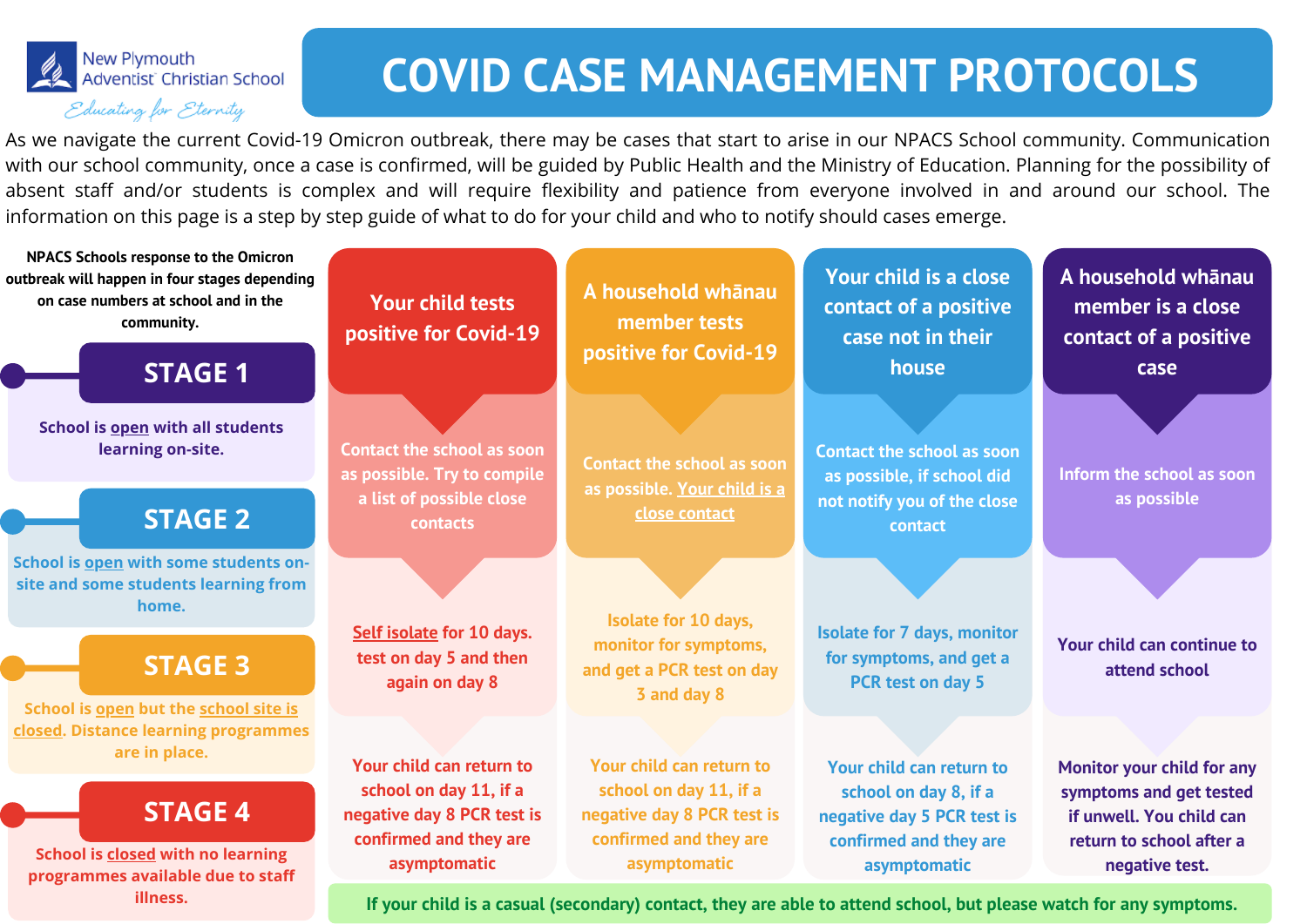**School is open but the school site is closed. Distance learning programmes are in place.**

### **STAGE 3**

**School is closed with no learning programmes available due to staff illness.**

### **STAGE 4**

**School is open with some students onsite and some students learning from home.**

### **STAGE 2**

**School is open with all students learning on-site.**

### **STAGE 1**

**A household whānau member tests positive for Covid-19**

**Your child is a close contact of a positive case not in their house**

**A household whānau member is a close contact of a positive case**

## New Plymouth<br>Adventist Christian School Educating for Eternity

## **COVID CASE MANAGEMENT PROTOCOLS**

As we navigate the current Covid-19 Omicron outbreak, there may be cases that start to arise in our NPACS School community. Communication with our school community, once a case is confirmed, will be guided by Public Health and the Ministry of Education. Planning for the possibility of absent staff and/or students is complex and will require flexibility and patience from everyone involved in and around our school. The information on this page is a step by step guide of what to do for your child and who to notify should cases emerge.

**NPACS Schools response to the Omicron outbreak will happen in four stages depending on case numbers at school and in the community.**

**Your child tests positive for Covid-19**

**Contact the school as soon as possible. Try to compile a list of possible close contacts**

**Self isolate for 10 days. test on day 5 and then again on day 8**

**Your child can return to school on day 11, if a negative day 8 PCR test is confirmed and they are asymptomatic**

If your child is a casual (secondary) contact, they are able to attend school, but please watch for any symptoms.

**Contact the school as soon as possible. Your child is a close contact**

**Isolate for 10 days, monitor for symptoms, and get a PCR test on day 3 and day 8**

**Your child can return to school on day 11, if a negative day 8 PCR test is confirmed and they are asymptomatic**

**Contact the school as soon as possible, if school did not notify you of the close contact**

**Isolate for 7 days, monitor for symptoms, and get a PCR test on day 5**

**Your child can return to school on day 8, if a negative day 5 PCR test is confirmed and they are asymptomatic**

**Inform the school as soon as possible**

**Your child can continue to attend school**

**Monitor your child for any symptoms and get tested if unwell. You child can return to school after a negative test.**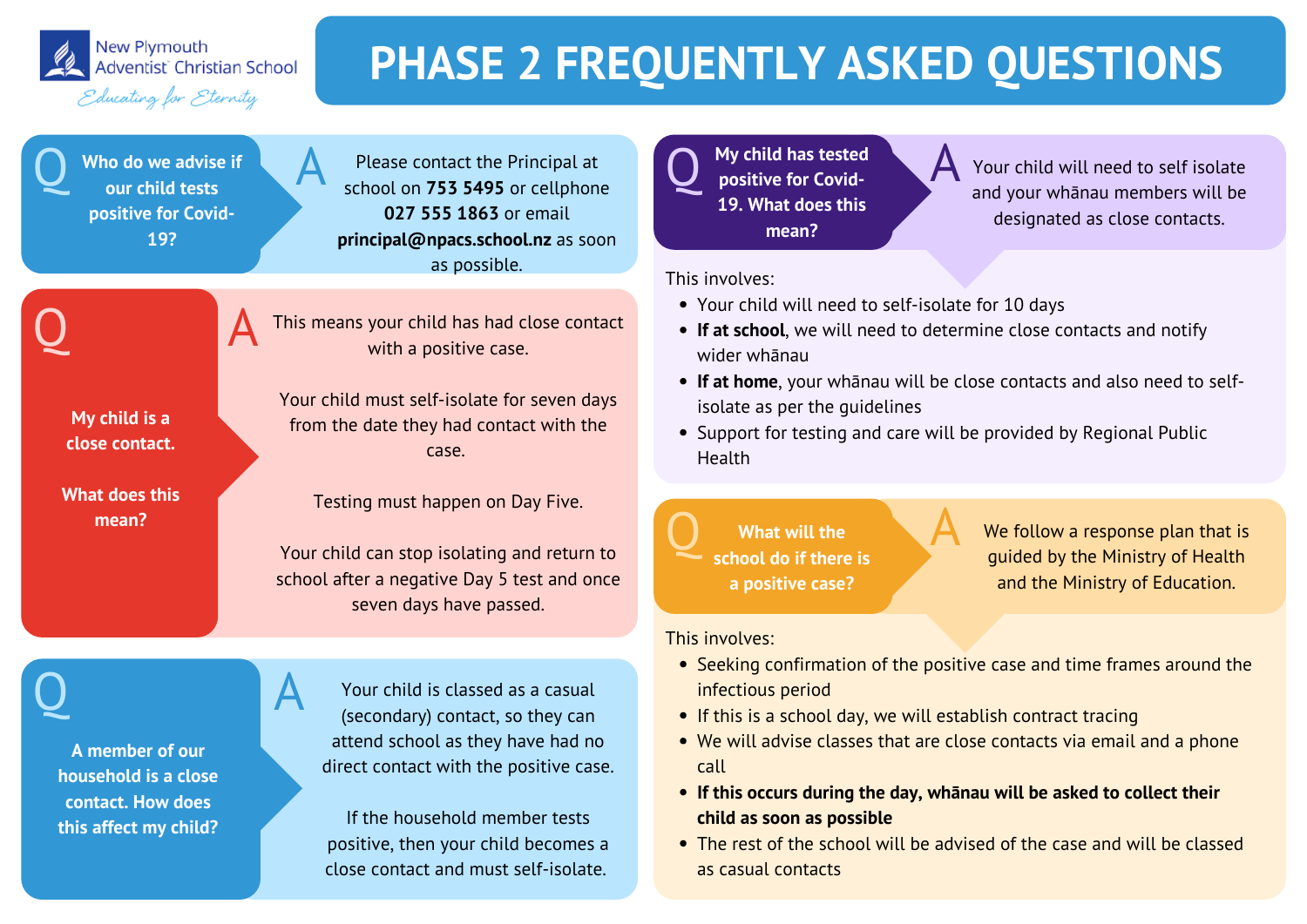

New Plymouth Adventist Christian School

#### Educating for Eternity

# **PHASE 2 FREQUENTLY ASKED QUESTIONS**

Q Who do we advise if A **Who do we advise if our child tests positive for Covid-19?**

Please contact the Principal at school on **753 5495** or cellphone **027 555 1863** or email **principal@npacs.school.nz** as soon as possible.

**My child is a close contact.**

**What does this mean?**

This means your child has had close contact

with a positive case.

**Q** My child has tested<br>positive for Covid**positive for Covid-19. What does this mean?**

Your child must self-isolate for seven days

from the date they had contact with the

case.

Testing must happen on Day Five.

Your child can stop isolating and return to

school after a negative Day 5 test and once

seven days have passed.



Q A

We follow a response plan that is guided by the Ministry of Health and the Ministry of Education.

Your child will need to self isolate and your whānau members will be designated as close contacts.

- Seeking confirmation of the positive case and time frames around the infectious period
- If this is a school day, we will establish contract tracing
- We will advise classes that are close contacts via email and a phone call

 $\begin{array}{ccc}\n\bullet & \bullet & \bullet \\
\bullet & \bullet & \bullet & \bullet \\
\bullet & \bullet & \bullet & \bullet\n\end{array}$ **What will the school do if there is a positive case?**

- 
- **If this occurs during the day, whānau will be asked to collect their child as soon as possible**
- The rest of the school will be advised of the case and will be classed as casual contacts

This involves:

- Your child will need to self-isolate for 10 days
- **If at home**, your whānau will be close contacts and also need to selfisolate as per the guidelines
- 
- **If at school**, we will need to determine close contacts and notify wider whānau
- 
- 
- Support for testing and care will be provided by Regional Public Health



This involves:



**A member of our**

**household is a close**

**contact. How does**

**this affect my child?**

Your child is classed as a casual (secondary) contact, so they can attend school as they have had no direct contact with the positive case.

If the household member tests positive, then your child becomes a close contact and must self-isolate.